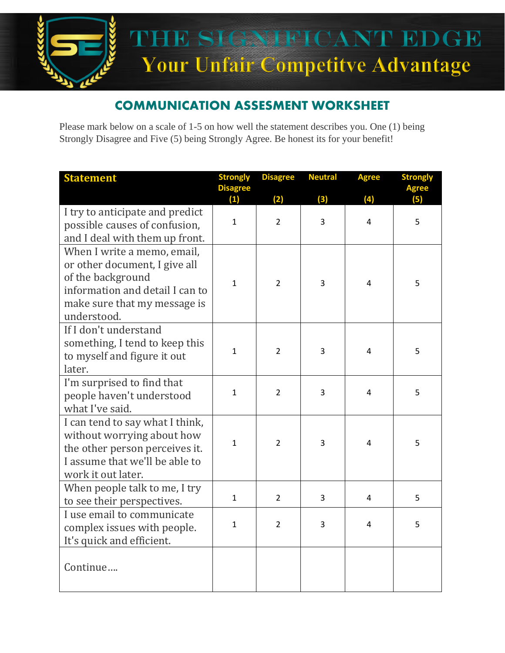

## COMMUNICATION ASSESMENT WORKSHEET

Please mark below on a scale of 1-5 on how well the statement describes you. One (1) being Strongly Disagree and Five (5) being Strongly Agree. Be honest its for your benefit!

| <b>Statement</b>                                                                                                                                                    | <b>Strongly</b>     | <b>Disagree</b>       | <b>Neutral</b>        | <b>Agree</b>   | <b>Strongly</b> |
|---------------------------------------------------------------------------------------------------------------------------------------------------------------------|---------------------|-----------------------|-----------------------|----------------|-----------------|
|                                                                                                                                                                     | <b>Disagree</b>     |                       |                       |                | <b>Agree</b>    |
| I try to anticipate and predict<br>possible causes of confusion,<br>and I deal with them up front.                                                                  | (1)<br>$\mathbf{1}$ | (2)<br>$\overline{2}$ | (3)<br>$\overline{3}$ | (4)<br>4       | (5)<br>5        |
| When I write a memo, email,<br>or other document, I give all<br>of the background<br>information and detail I can to<br>make sure that my message is<br>understood. | $\mathbf{1}$        | $\overline{2}$        | 3                     | $\overline{4}$ | 5               |
| If I don't understand<br>something, I tend to keep this<br>to myself and figure it out<br>later.                                                                    | $\mathbf{1}$        | $\overline{2}$        | 3                     | 4              | 5               |
| I'm surprised to find that<br>people haven't understood<br>what I've said.                                                                                          | 1                   | $\overline{2}$        | 3                     | $\overline{4}$ | 5               |
| I can tend to say what I think,<br>without worrying about how<br>the other person perceives it.<br>I assume that we'll be able to<br>work it out later.             | $\mathbf{1}$        | $\overline{2}$        | 3                     | 4              | 5               |
| When people talk to me, I try<br>to see their perspectives.                                                                                                         | $\mathbf{1}$        | $\overline{2}$        | 3                     | 4              | 5               |
| I use email to communicate<br>complex issues with people.<br>It's quick and efficient.                                                                              | 1                   | $\mathcal{P}$         | 3                     | 4              | 5               |
| Continue                                                                                                                                                            |                     |                       |                       |                |                 |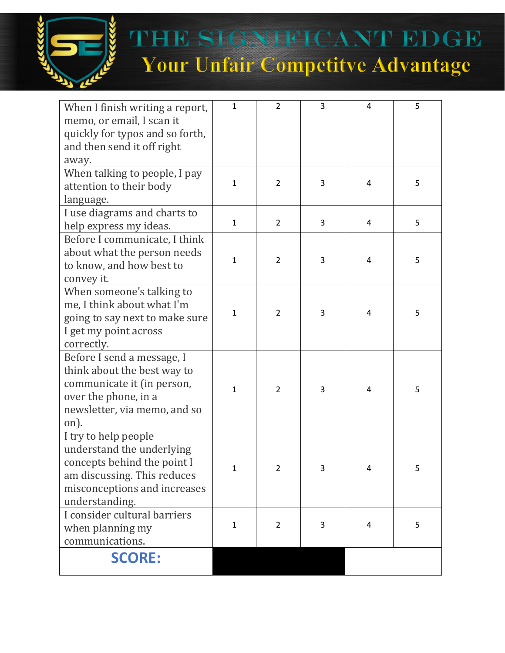

THE SIGNIFICANT EDGE Your Unfair Competitve Advantage

| When I finish writing a report,<br>memo, or email, I scan it<br>quickly for typos and so forth,<br>and then send it off right<br>away.                            | $\mathbf{1}$ | $\overline{2}$ | 3 | 4              | 5 |
|-------------------------------------------------------------------------------------------------------------------------------------------------------------------|--------------|----------------|---|----------------|---|
| When talking to people, I pay<br>attention to their body<br>language.                                                                                             | $\mathbf{1}$ | $\overline{2}$ | 3 | $\sqrt{4}$     | 5 |
| I use diagrams and charts to<br>help express my ideas.                                                                                                            | $\mathbf{1}$ | $\overline{2}$ | 3 | 4              | 5 |
| Before I communicate, I think<br>about what the person needs<br>to know, and how best to<br>convey it.                                                            | $\mathbf{1}$ | $\overline{2}$ | 3 | 4              | 5 |
| When someone's talking to<br>me, I think about what I'm<br>going to say next to make sure<br>I get my point across<br>correctly.                                  | 1            | $\overline{2}$ | 3 | 4              | 5 |
| Before I send a message, I<br>think about the best way to<br>communicate it (in person,<br>over the phone, in a<br>newsletter, via memo, and so<br>on).           | 1            | $\overline{2}$ | 3 | $\overline{4}$ | 5 |
| I try to help people<br>understand the underlying<br>concepts behind the point I<br>am discussing. This reduces<br>misconceptions and increases<br>understanding. | 1            | $\mathbf{z}$   | 3 | 4              | ь |
| I consider cultural barriers<br>when planning my<br>communications.                                                                                               | 1            | $\overline{2}$ | 3 | 4              | 5 |
| <b>SCORE:</b>                                                                                                                                                     |              |                |   |                |   |